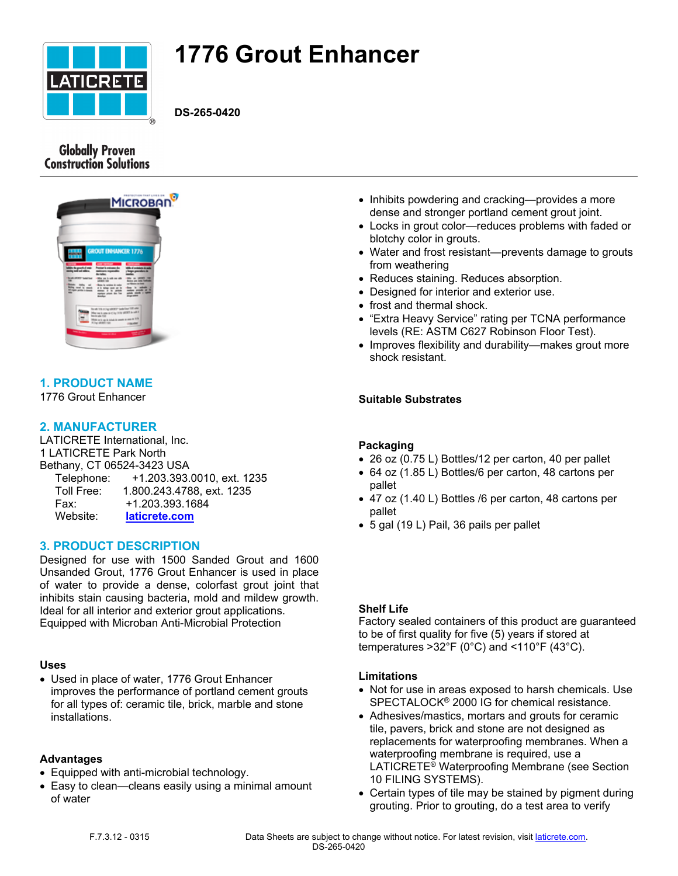

# **1776 Grout Enhancer**

**DS-265-0420**

## **Globally Proven Construction Solutions**



# **1. PRODUCT NAME**

1776 Grout Enhancer

## **2. MANUFACTURER**

LATICRETE International, Inc. 1 LATICRETE Park North Bethany, CT 06524-3423 USA Telephone: +1.203.393.0010, ext. 1235 Toll Free: 1.800.243.4788, ext. 1235 Fax: +1.203.393.1684 Website: **[laticrete.com](https://laticrete.com/)**

## **3. PRODUCT DESCRIPTION**

Designed for use with 1500 Sanded Grout and 1600 Unsanded Grout, 1776 Grout Enhancer is used in place of water to provide a dense, colorfast grout joint that inhibits stain causing bacteria, mold and mildew growth. Ideal for all interior and exterior grout applications. Equipped with Microban Anti-Microbial Protection

## **Uses**

 Used in place of water, 1776 Grout Enhancer improves the performance of portland cement grouts for all types of: ceramic tile, brick, marble and stone installations.

## **Advantages**

- Equipped with anti-microbial technology.
- Easy to clean—cleans easily using a minimal amount of water
- Inhibits powdering and cracking—provides a more dense and stronger portland cement grout joint.
- Locks in grout color—reduces problems with faded or blotchy color in grouts.
- Water and frost resistant—prevents damage to grouts from weathering
- Reduces staining. Reduces absorption.
- Designed for interior and exterior use.
- frost and thermal shock.
- "Extra Heavy Service" rating per TCNA performance levels (RE: ASTM C627 Robinson Floor Test).
- Improves flexibility and durability—makes grout more shock resistant.

## **Suitable Substrates**

## **Packaging**

- 26 oz (0.75 L) Bottles/12 per carton, 40 per pallet
- 64 oz (1.85 L) Bottles/6 per carton, 48 cartons per pallet
- 47 oz (1.40 L) Bottles /6 per carton, 48 cartons per pallet
- 5 gal (19 L) Pail, 36 pails per pallet

## **Shelf Life**

Factory sealed containers of this product are guaranteed to be of first quality for five (5) years if stored at temperatures >32°F (0°C) and <110°F (43°C).

## **Limitations**

- Not for use in areas exposed to harsh chemicals. Use SPECTALOCK® 2000 IG for chemical resistance.
- Adhesives/mastics, mortars and grouts for ceramic tile, pavers, brick and stone are not designed as replacements for waterproofing membranes. When a waterproofing membrane is required, use a LATICRETE<sup>®</sup> Waterproofing Membrane (see Section 10 FILING SYSTEMS).
- Certain types of tile may be stained by pigment during grouting. Prior to grouting, do a test area to verify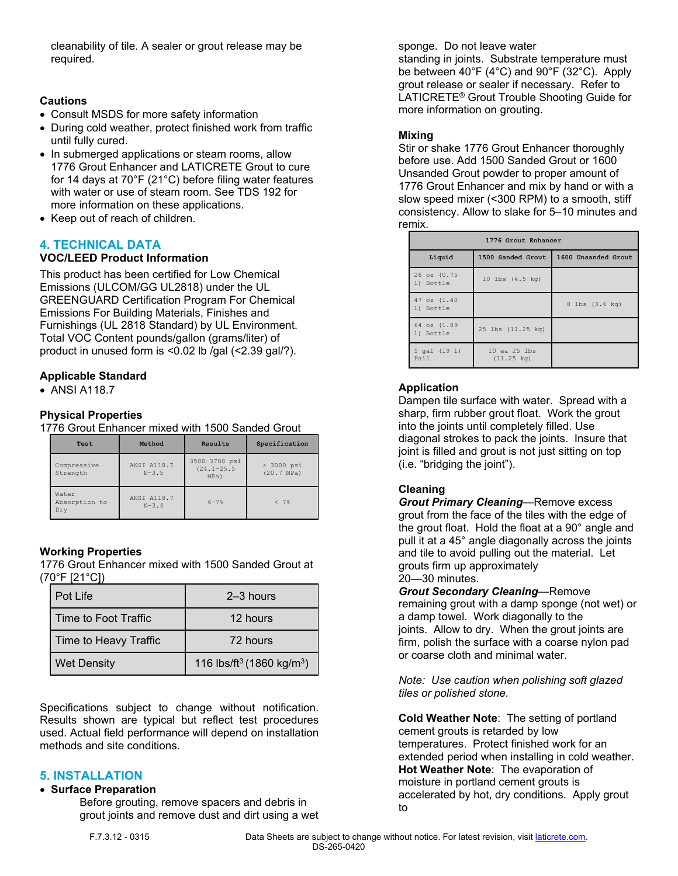cleanability of tile. A sealer or grout release may be required.

## **Cautions**

- Consult MSDS for more safety information
- During cold weather, protect finished work from traffic until fully cured.
- In submerged applications or steam rooms, allow 1776 Grout Enhancer and LATICRETE Grout to cure for 14 days at 70°F (21°C) before filing water features with water or use of steam room. See TDS 192 for more information on these applications.
- Keep out of reach of children.

## **4. TECHNICAL DATA**

## **VOC/LEED Product Information**

This product has been certified for Low Chemical Emissions (ULCOM/GG UL2818) under the UL GREENGUARD Certification Program For Chemical Emissions For Building Materials, Finishes and Furnishings (UL 2818 Standard) by UL Environment. Total VOC Content pounds/gallon (grams/liter) of product in unused form is <0.02 lb /gal (<2.39 gal/?).

## **Applicable Standard**

• ANSI A118.7

## **Physical Properties**

1776 Grout Enhancer mixed with 1500 Sanded Grout

| Test                          | Method                 | Results                                 | Specification                        |
|-------------------------------|------------------------|-----------------------------------------|--------------------------------------|
| Compressive<br>Strength       | ANSI A118.7<br>$N-3.5$ | 3500-3700 psi<br>$(24.1 - 25.5$<br>MPa) | $> 3000$ psi<br>$(20.7 \text{ MPa})$ |
| Water<br>Absorption to<br>Dry | ANSI A118.7<br>$N-3.4$ | $6 - 7$ <sup>8</sup>                    | < 7%                                 |

## **Working Properties**

1776 Grout Enhancer mixed with 1500 Sanded Grout at (70°F [21°C])

| Pot Life              | $2-3$ hours                                       |
|-----------------------|---------------------------------------------------|
| Time to Foot Traffic  | 12 hours                                          |
| Time to Heavy Traffic | 72 hours                                          |
| <b>Wet Density</b>    | 116 lbs/ft <sup>3</sup> (1860 kg/m <sup>3</sup> ) |

Specifications subject to change without notification. Results shown are typical but reflect test procedures used. Actual field performance will depend on installation methods and site conditions.

## **5. INSTALLATION**

#### **Surface Preparation**

Before grouting, remove spacers and debris in grout joints and remove dust and dirt using a wet sponge. Do not leave water standing in joints. Substrate temperature must

be between 40°F (4°C) and 90°F (32°C). Apply grout release or sealer if necessary. Refer to LATICRETE® Grout Trouble Shooting Guide for more information on grouting.

## **Mixing**

Stir or shake 1776 Grout Enhancer thoroughly before use. Add 1500 Sanded Grout or 1600 Unsanded Grout powder to proper amount of 1776 Grout Enhancer and mix by hand or with a slow speed mixer (<300 RPM) to a smooth, stiff consistency. Allow to slake for 5–10 minutes and remix.

| 1776 Grout Enhancer      |                                      |                     |  |
|--------------------------|--------------------------------------|---------------------|--|
| Liquid                   | 1500 Sanded Grout                    | 1600 Unsanded Grout |  |
| 26 oz (0.75<br>1) Bottle | 10 lbs (4.5 kg)                      |                     |  |
| 47 oz (1.40<br>1) Bottle |                                      | 8 lbs (3.6 kg)      |  |
| 64 oz (1.89<br>1) Bottle | 25 lbs (11.25 kg)                    |                     |  |
| 5 gal (19 1)<br>Pail     | 10 ea 25 lbs<br>$(11.25 \text{ kg})$ |                     |  |

## **Application**

Dampen tile surface with water. Spread with a sharp, firm rubber grout float. Work the grout into the joints until completely filled. Use diagonal strokes to pack the joints. Insure that joint is filled and grout is not just sitting on top (i.e. "bridging the joint").

## **Cleaning**

*Grout Primary Cleaning*—Remove excess grout from the face of the tiles with the edge of the grout float. Hold the float at a 90° angle and pull it at a 45° angle diagonally across the joints and tile to avoid pulling out the material. Let grouts firm up approximately 20—30 minutes.

*Grout Secondary Cleaning*—Remove remaining grout with a damp sponge (not wet) or a damp towel. Work diagonally to the joints. Allow to dry. When the grout joints are firm, polish the surface with a coarse nylon pad or coarse cloth and minimal water.

*Note: Use caution when polishing soft glazed tiles or polished stone.*

**Cold Weather Note**: The setting of portland cement grouts is retarded by low temperatures. Protect finished work for an extended period when installing in cold weather. **Hot Weather Note**: The evaporation of moisture in portland cement grouts is accelerated by hot, dry conditions. Apply grout to